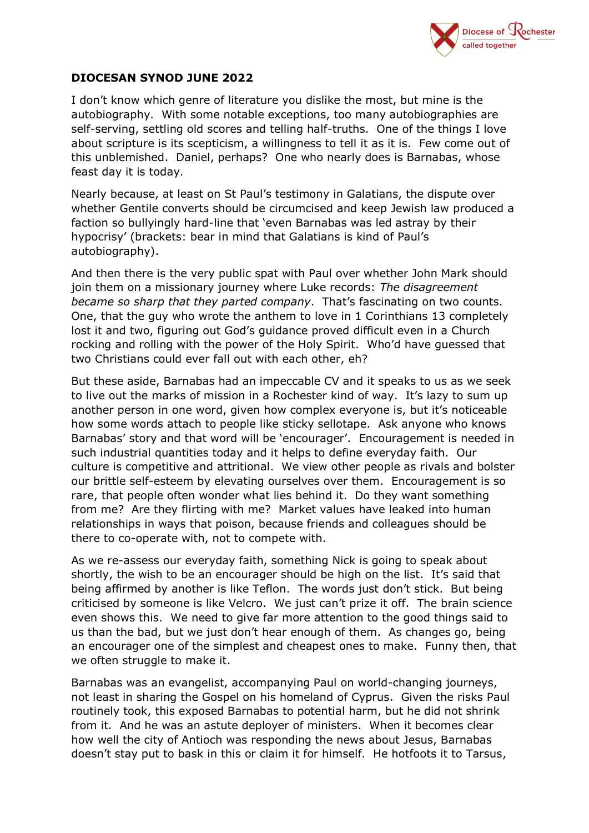

## **DIOCESAN SYNOD JUNE 2022**

I don't know which genre of literature you dislike the most, but mine is the autobiography. With some notable exceptions, too many autobiographies are self-serving, settling old scores and telling half-truths. One of the things I love about scripture is its scepticism, a willingness to tell it as it is. Few come out of this unblemished. Daniel, perhaps? One who nearly does is Barnabas, whose feast day it is today.

Nearly because, at least on St Paul's testimony in Galatians, the dispute over whether Gentile converts should be circumcised and keep Jewish law produced a faction so bullyingly hard-line that 'even Barnabas was led astray by their hypocrisy' (brackets: bear in mind that Galatians is kind of Paul's autobiography).

And then there is the very public spat with Paul over whether John Mark should join them on a missionary journey where Luke records: *The disagreement became so sharp that they parted company*. That's fascinating on two counts. One, that the guy who wrote the anthem to love in 1 Corinthians 13 completely lost it and two, figuring out God's guidance proved difficult even in a Church rocking and rolling with the power of the Holy Spirit. Who'd have guessed that two Christians could ever fall out with each other, eh?

But these aside, Barnabas had an impeccable CV and it speaks to us as we seek to live out the marks of mission in a Rochester kind of way. It's lazy to sum up another person in one word, given how complex everyone is, but it's noticeable how some words attach to people like sticky sellotape. Ask anyone who knows Barnabas' story and that word will be 'encourager'. Encouragement is needed in such industrial quantities today and it helps to define everyday faith. Our culture is competitive and attritional. We view other people as rivals and bolster our brittle self-esteem by elevating ourselves over them. Encouragement is so rare, that people often wonder what lies behind it. Do they want something from me? Are they flirting with me? Market values have leaked into human relationships in ways that poison, because friends and colleagues should be there to co-operate with, not to compete with.

As we re-assess our everyday faith, something Nick is going to speak about shortly, the wish to be an encourager should be high on the list. It's said that being affirmed by another is like Teflon. The words just don't stick. But being criticised by someone is like Velcro. We just can't prize it off. The brain science even shows this. We need to give far more attention to the good things said to us than the bad, but we just don't hear enough of them. As changes go, being an encourager one of the simplest and cheapest ones to make. Funny then, that we often struggle to make it.

Barnabas was an evangelist, accompanying Paul on world-changing journeys, not least in sharing the Gospel on his homeland of Cyprus. Given the risks Paul routinely took, this exposed Barnabas to potential harm, but he did not shrink from it. And he was an astute deployer of ministers. When it becomes clear how well the city of Antioch was responding the news about Jesus, Barnabas doesn't stay put to bask in this or claim it for himself. He hotfoots it to Tarsus,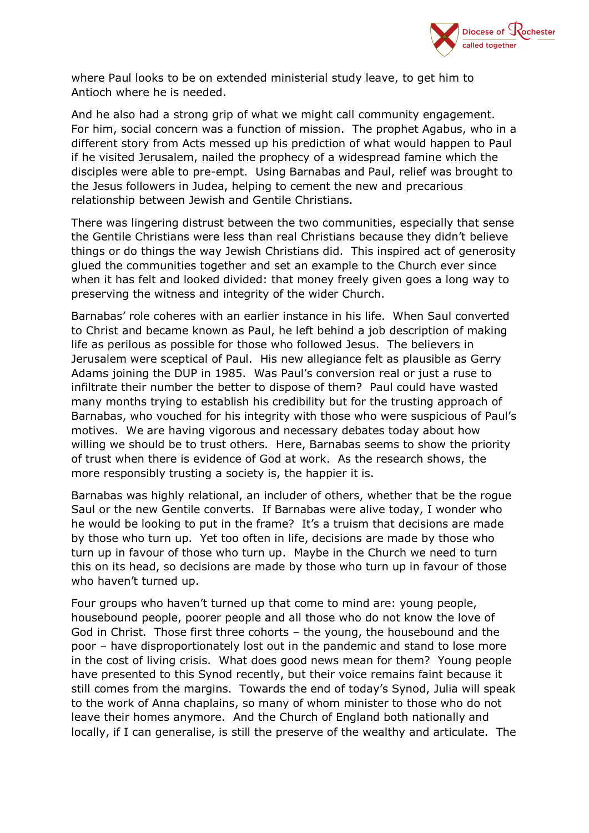

where Paul looks to be on extended ministerial study leave, to get him to Antioch where he is needed.

And he also had a strong grip of what we might call community engagement. For him, social concern was a function of mission. The prophet Agabus, who in a different story from Acts messed up his prediction of what would happen to Paul if he visited Jerusalem, nailed the prophecy of a widespread famine which the disciples were able to pre-empt. Using Barnabas and Paul, relief was brought to the Jesus followers in Judea, helping to cement the new and precarious relationship between Jewish and Gentile Christians.

There was lingering distrust between the two communities, especially that sense the Gentile Christians were less than real Christians because they didn't believe things or do things the way Jewish Christians did. This inspired act of generosity glued the communities together and set an example to the Church ever since when it has felt and looked divided: that money freely given goes a long way to preserving the witness and integrity of the wider Church.

Barnabas' role coheres with an earlier instance in his life. When Saul converted to Christ and became known as Paul, he left behind a job description of making life as perilous as possible for those who followed Jesus. The believers in Jerusalem were sceptical of Paul. His new allegiance felt as plausible as Gerry Adams joining the DUP in 1985. Was Paul's conversion real or just a ruse to infiltrate their number the better to dispose of them? Paul could have wasted many months trying to establish his credibility but for the trusting approach of Barnabas, who vouched for his integrity with those who were suspicious of Paul's motives. We are having vigorous and necessary debates today about how willing we should be to trust others. Here, Barnabas seems to show the priority of trust when there is evidence of God at work. As the research shows, the more responsibly trusting a society is, the happier it is.

Barnabas was highly relational, an includer of others, whether that be the rogue Saul or the new Gentile converts. If Barnabas were alive today, I wonder who he would be looking to put in the frame? It's a truism that decisions are made by those who turn up. Yet too often in life, decisions are made by those who turn up in favour of those who turn up. Maybe in the Church we need to turn this on its head, so decisions are made by those who turn up in favour of those who haven't turned up.

Four groups who haven't turned up that come to mind are: young people, housebound people, poorer people and all those who do not know the love of God in Christ. Those first three cohorts – the young, the housebound and the poor – have disproportionately lost out in the pandemic and stand to lose more in the cost of living crisis. What does good news mean for them? Young people have presented to this Synod recently, but their voice remains faint because it still comes from the margins. Towards the end of today's Synod, Julia will speak to the work of Anna chaplains, so many of whom minister to those who do not leave their homes anymore. And the Church of England both nationally and locally, if I can generalise, is still the preserve of the wealthy and articulate. The